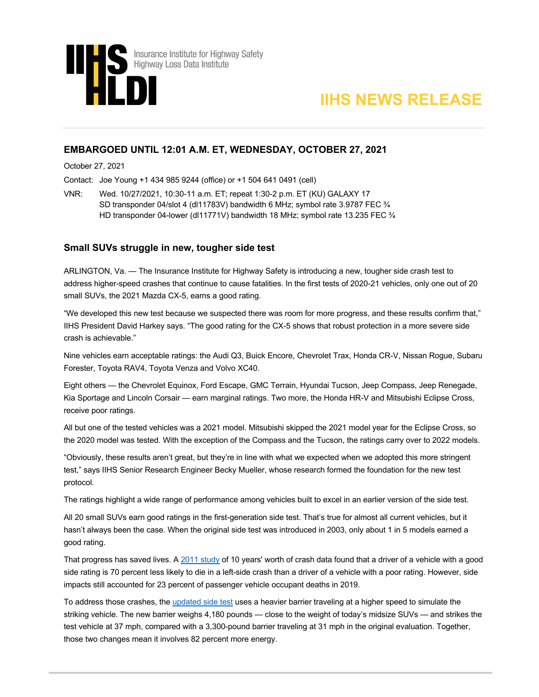



# **EMBARGOED UNTIL 12:01 A.M. ET, WEDNESDAY, OCTOBER 27, 2021**

October 27, 2021

Contact: Joe Young +1 434 985 9244 (office) or +1 504 641 0491 (cell)

VNR: Wed. 10/27/2021, 10:30-11 a.m. ET; repeat 1:30-2 p.m. ET (KU) GALAXY 17 SD transponder 04/slot 4 (dl11783V) bandwidth 6 MHz; symbol rate 3.9787 FEC ¾ HD transponder 04-lower (dl11771V) bandwidth 18 MHz; symbol rate 13.235 FEC ¾

## **Small SUVs struggle in new, tougher side test**

ARLINGTON, Va. — The Insurance Institute for Highway Safety is introducing a new, tougher side crash test to address higher-speed crashes that continue to cause fatalities. In the first tests of 2020-21 vehicles, only one out of 20 small SUVs, the 2021 Mazda CX-5, earns a good rating.

"We developed this new test because we suspected there was room for more progress, and these results confirm that," IIHS President David Harkey says. "The good rating for the CX-5 shows that robust protection in a more severe side crash is achievable."

Nine vehicles earn acceptable ratings: the Audi Q3, Buick Encore, Chevrolet Trax, Honda CR-V, Nissan Rogue, Subaru Forester, Toyota RAV4, Toyota Venza and Volvo XC40.

Eight others — the Chevrolet Equinox, Ford Escape, GMC Terrain, Hyundai Tucson, Jeep Compass, Jeep Renegade, Kia Sportage and Lincoln Corsair — earn marginal ratings. Two more, the Honda HR-V and Mitsubishi Eclipse Cross, receive poor ratings.

All but one of the tested vehicles was a 2021 model. Mitsubishi skipped the 2021 model year for the Eclipse Cross, so the 2020 model was tested. With the exception of the Compass and the Tucson, the ratings carry over to 2022 models.

"Obviously, these results aren't great, but they're in line with what we expected when we adopted this more stringent test," says IIHS Senior Research Engineer Becky Mueller, whose research formed the foundation for the new test protocol.

The ratings highlight a wide range of performance among vehicles built to excel in an earlier version of the side test.

All 20 small SUVs earn good ratings in the first-generation side test. That's true for almost all current vehicles, but it hasn't always been the case. When the original side test was introduced in 2003, only about 1 in 5 models earned a good rating.

That progress has saved lives. [A 2011 study](https://www.iihs.org/news/detail/vehicles-that-earn-good-side-impact-ratings-have-lower-driver-death-risk) of 10 years' worth of crash data found that a driver of a vehicle with a good side rating is 70 percent less likely to die in a left-side crash than a driver of a vehicle with a poor rating. However, side impacts still accounted for 23 percent of passenger vehicle occupant deaths in 2019.

To address those crashes, th[e updated side test](https://www.iihs.org/news/detail/iihs-prepares-to-launch-new-more-challenging-side-crash-test) uses a heavier barrier traveling at a higher speed to simulate the striking vehicle. The new barrier weighs 4,180 pounds — close to the weight of today's midsize SUVs — and strikes the test vehicle at 37 mph, compared with a 3,300-pound barrier traveling at 31 mph in the original evaluation. Together, those two changes mean it involves 82 percent more energy.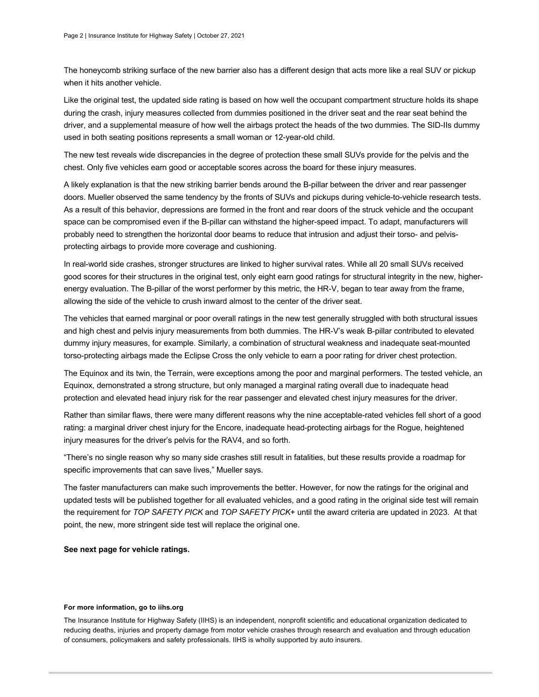The honeycomb striking surface of the new barrier also has a different design that acts more like a real SUV or pickup when it hits another vehicle.

Like the original test, the updated side rating is based on how well the occupant compartment structure holds its shape during the crash, injury measures collected from dummies positioned in the driver seat and the rear seat behind the driver, and a supplemental measure of how well the airbags protect the heads of the two dummies. The SID-IIs dummy used in both seating positions represents a small woman or 12-year-old child.

The new test reveals wide discrepancies in the degree of protection these small SUVs provide for the pelvis and the chest. Only five vehicles earn good or acceptable scores across the board for these injury measures.

A likely explanation is that the new striking barrier bends around the B-pillar between the driver and rear passenger doors. Mueller observed the same tendency by the fronts of SUVs and pickups during vehicle-to-vehicle research tests. As a result of this behavior, depressions are formed in the front and rear doors of the struck vehicle and the occupant space can be compromised even if the B-pillar can withstand the higher-speed impact. To adapt, manufacturers will probably need to strengthen the horizontal door beams to reduce that intrusion and adjust their torso- and pelvisprotecting airbags to provide more coverage and cushioning.

In real-world side crashes, stronger structures are linked to higher survival rates. While all 20 small SUVs received good scores for their structures in the original test, only eight earn good ratings for structural integrity in the new, higherenergy evaluation. The B-pillar of the worst performer by this metric, the HR-V, began to tear away from the frame, allowing the side of the vehicle to crush inward almost to the center of the driver seat.

The vehicles that earned marginal or poor overall ratings in the new test generally struggled with both structural issues and high chest and pelvis injury measurements from both dummies. The HR-V's weak B-pillar contributed to elevated dummy injury measures, for example. Similarly, a combination of structural weakness and inadequate seat-mounted torso-protecting airbags made the Eclipse Cross the only vehicle to earn a poor rating for driver chest protection.

The Equinox and its twin, the Terrain, were exceptions among the poor and marginal performers. The tested vehicle, an Equinox, demonstrated a strong structure, but only managed a marginal rating overall due to inadequate head protection and elevated head injury risk for the rear passenger and elevated chest injury measures for the driver.

Rather than similar flaws, there were many different reasons why the nine acceptable-rated vehicles fell short of a good rating: a marginal driver chest injury for the Encore, inadequate head-protecting airbags for the Rogue, heightened injury measures for the driver's pelvis for the RAV4, and so forth.

"There's no single reason why so many side crashes still result in fatalities, but these results provide a roadmap for specific improvements that can save lives," Mueller says.

The faster manufacturers can make such improvements the better. However, for now the ratings for the original and updated tests will be published together for all evaluated vehicles, and a good rating in the original side test will remain the requirement for *TOP SAFETY PICK* and *TOP SAFETY PICK*+ until the award criteria are updated in 2023. At that point, the new, more stringent side test will replace the original one.

### **See next page for vehicle ratings.**

#### **For more information, go to iihs.org**

The Insurance Institute for Highway Safety (IIHS) is an independent, nonprofit scientific and educational organization dedicated to reducing deaths, injuries and property damage from motor vehicle crashes through research and evaluation and through education of consumers, policymakers and safety professionals. IIHS is wholly supported by auto insurers.